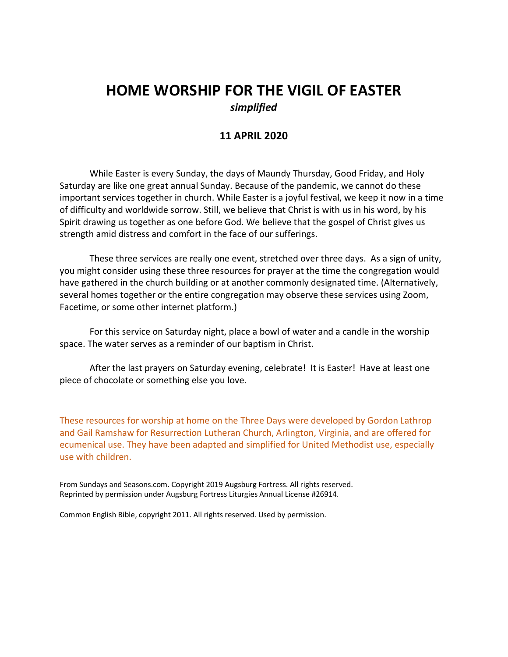# **HOME WORSHIP FOR THE VIGIL OF EASTER** *simplified*

# **11 APRIL 2020**

While Easter is every Sunday, the days of Maundy Thursday, Good Friday, and Holy Saturday are like one great annual Sunday. Because of the pandemic, we cannot do these important services together in church. While Easter is a joyful festival, we keep it now in a time of difficulty and worldwide sorrow. Still, we believe that Christ is with us in his word, by his Spirit drawing us together as one before God. We believe that the gospel of Christ gives us strength amid distress and comfort in the face of our sufferings.

These three services are really one event, stretched over three days. As a sign of unity, you might consider using these three resources for prayer at the time the congregation would have gathered in the church building or at another commonly designated time. (Alternatively, several homes together or the entire congregation may observe these services using Zoom, Facetime, or some other internet platform.)

For this service on Saturday night, place a bowl of water and a candle in the worship space. The water serves as a reminder of our baptism in Christ.

After the last prayers on Saturday evening, celebrate! It is Easter! Have at least one piece of chocolate or something else you love.

These resources for worship at home on the Three Days were developed by Gordon Lathrop and Gail Ramshaw for Resurrection Lutheran Church, Arlington, Virginia, and are offered for ecumenical use. They have been adapted and simplified for United Methodist use, especially use with children.

From Sundays and Seasons.com. Copyright 2019 Augsburg Fortress. All rights reserved. Reprinted by permission under Augsburg Fortress Liturgies Annual License #26914.

Common English Bible, copyright 2011. All rights reserved. Used by permission.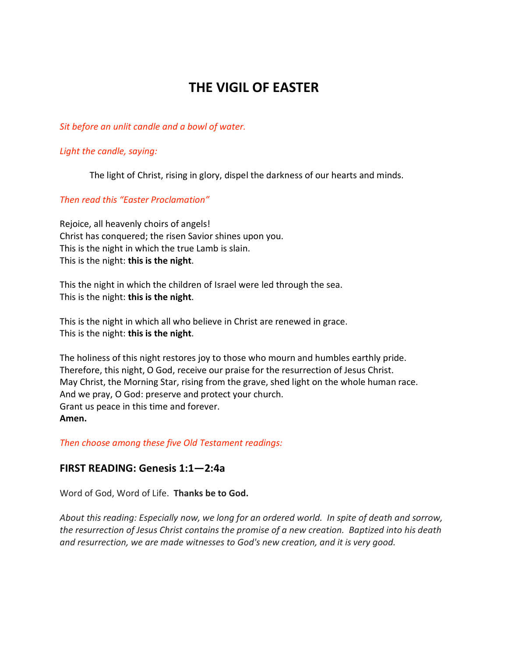# **THE VIGIL OF EASTER**

#### *Sit before an unlit candle and a bowl of water.*

#### *Light the candle, saying:*

The light of Christ, rising in glory, dispel the darkness of our hearts and minds.

## *Then read this "Easter Proclamation"*

Rejoice, all heavenly choirs of angels! Christ has conquered; the risen Savior shines upon you. This is the night in which the true Lamb is slain. This is the night: **this is the night**.

This the night in which the children of Israel were led through the sea. This is the night: **this is the night**.

This is the night in which all who believe in Christ are renewed in grace. This is the night: **this is the night**.

The holiness of this night restores joy to those who mourn and humbles earthly pride. Therefore, this night, O God, receive our praise for the resurrection of Jesus Christ. May Christ, the Morning Star, rising from the grave, shed light on the whole human race. And we pray, O God: preserve and protect your church. Grant us peace in this time and forever. **Amen.**

*Then choose among these five Old Testament readings:*

## **FIRST READING: Genesis 1:1—2:4a**

Word of God, Word of Life. **Thanks be to God.**

*About this reading: Especially now, we long for an ordered world. In spite of death and sorrow, the resurrection of Jesus Christ contains the promise of a new creation. Baptized into his death and resurrection, we are made witnesses to God's new creation, and it is very good.*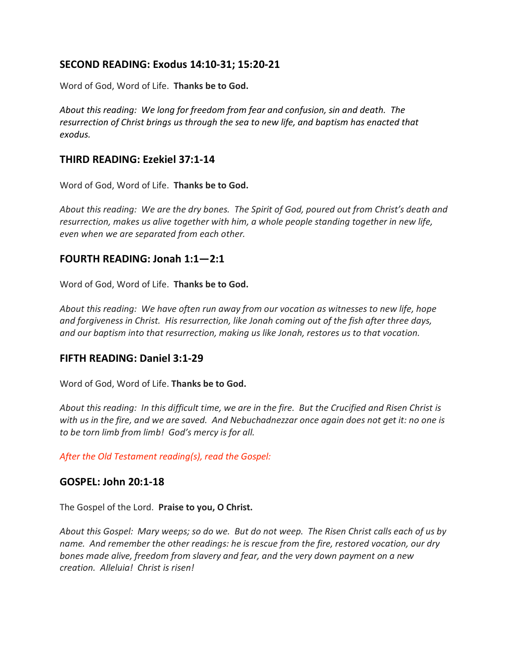# **SECOND READING: Exodus 14:10-31; 15:20-21**

Word of God, Word of Life. **Thanks be to God.**

*About this reading: We long for freedom from fear and confusion, sin and death. The resurrection of Christ brings us through the sea to new life, and baptism has enacted that exodus.*

# **THIRD READING: Ezekiel 37:1-14**

Word of God, Word of Life. **Thanks be to God.**

*About this reading: We are the dry bones. The Spirit of God, poured out from Christ's death and resurrection, makes us alive together with him, a whole people standing together in new life, even when we are separated from each other.*

# **FOURTH READING: Jonah 1:1—2:1**

Word of God, Word of Life. **Thanks be to God.**

*About this reading: We have often run away from our vocation as witnesses to new life, hope and forgiveness in Christ. His resurrection, like Jonah coming out of the fish after three days, and our baptism into that resurrection, making us like Jonah, restores us to that vocation.*

# **FIFTH READING: Daniel 3:1-29**

Word of God, Word of Life. **Thanks be to God.**

*About this reading: In this difficult time, we are in the fire. But the Crucified and Risen Christ is* with us in the fire, and we are saved. And Nebuchadnezzar once again does not get it: no one is *to be torn limb from limb! God's mercy is for all.*

*After the Old Testament reading(s), read the Gospel:*

# **GOSPEL: John 20:1-18**

The Gospel of the Lord. **Praise to you, O Christ.**

*About this Gospel: Mary weeps; so do we. But do not weep. The Risen Christ calls each of us by name. And remember the other readings: he is rescue from the fire, restored vocation, our dry bones made alive, freedom from slavery and fear, and the very down payment on a new creation. Alleluia! Christ is risen!*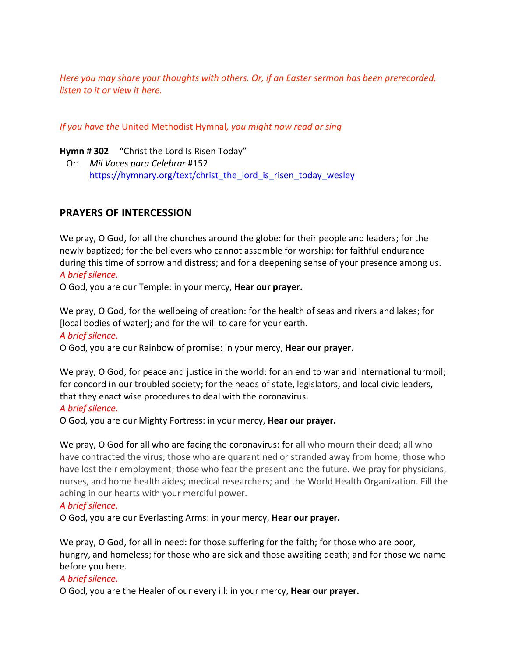*Here you may share your thoughts with others. Or, if an Easter sermon has been prerecorded, listen to it or view it here.*

*If you have the* United Methodist Hymnal*, you might now read or sing*

**Hymn # 302** "Christ the Lord Is Risen Today"

 Or: *Mil Voces para Celebrar* #152 https://hymnary.org/text/christ the lord is risen today wesley

# **PRAYERS OF INTERCESSION**

We pray, O God, for all the churches around the globe: for their people and leaders; for the newly baptized; for the believers who cannot assemble for worship; for faithful endurance during this time of sorrow and distress; and for a deepening sense of your presence among us. *A brief silence.*

O God, you are our Temple: in your mercy, **Hear our prayer.**

We pray, O God, for the wellbeing of creation: for the health of seas and rivers and lakes; for [local bodies of water]; and for the will to care for your earth.

## *A brief silence.*

O God, you are our Rainbow of promise: in your mercy, **Hear our prayer.**

We pray, O God, for peace and justice in the world: for an end to war and international turmoil; for concord in our troubled society; for the heads of state, legislators, and local civic leaders, that they enact wise procedures to deal with the coronavirus.

## *A brief silence.*

O God, you are our Mighty Fortress: in your mercy, **Hear our prayer.**

We pray, O God for all who are facing the coronavirus: for all who mourn their dead; all who have contracted the virus; those who are quarantined or stranded away from home; those who have lost their employment; those who fear the present and the future. We pray for physicians, nurses, and home health aides; medical researchers; and the World Health Organization. Fill the aching in our hearts with your merciful power.

## *A brief silence.*

O God, you are our Everlasting Arms: in your mercy, **Hear our prayer.**

We pray, O God, for all in need: for those suffering for the faith; for those who are poor, hungry, and homeless; for those who are sick and those awaiting death; and for those we name before you here.

#### *A brief silence.*

O God, you are the Healer of our every ill: in your mercy, **Hear our prayer.**